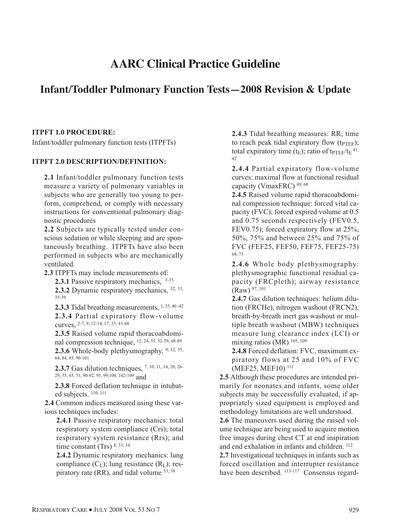# **AARC Clinical Practice Guideline**

# **Infant/Toddler Pulmonary Function Tests—2008 Revision & Update**

#### **ITPFT 1.0 PROCEDURE:**

Infant/toddler pulmonary function tests (ITPFTs)

#### **ITPFT 2.0 DESCRIPTION/DEFINITION:**

**2.1** Infant/toddler pulmonary function tests measure a variety of pulmonary variables in subjects who are generally too young to perform, comprehend, or comply with necessary instructions for conventional pulmonary diagnostic procedures

**2.2** Subjects are typically tested under conscious sedation or while sleeping and are spontaneously breathing. ITPFTs have also been performed in subjects who are mechanically ventilated.

**2.3** ITPFTs may include measurements of:

2.3.1 Passive respiratory mechanics, 1-35

**2.3.2** Dynamic respiratory mechanics, 32, 33, 35-39

**2.3.3** Tidal breathing measurements, 1, 35, 40 -42 **2.3.4** Partial expiratory flow-volume curves, 2-7, 9, 12-14, 17, 35, 43-68

**2.3.5** Raised volume rapid thoracoabdominal compression technique, 12, 24, 35, 52-59, 68-89 **2.3.6** Whole-body plethysmography, 9, 32, 35, 64, 84, 85, 90-101

**2.3.7** Gas dilution techniques, 7, 10, 11, 14, 20, 26- 29, 35, 43, 51, 90-92, 95, 99,100, 102-109 and

**2.3.8** Forced deflation technique in intubated subjects.  $110, 111$ 

**2.4** Common indices measured using these various techniques includes:

**2.4.1** Passive respiratory mechanics: total respiratory system compliance (Crs); total respiratory system resistance (Rrs); and time constant (Trs) 8, 33, 34

**2.4.2** Dynamic respiratory mechanics: lung compliance  $(C<sub>L</sub>)$ ; lung resistance  $(R<sub>L</sub>)$ ; respiratory rate (RR), and tidal volume 33, 38

**2.4.3** Tidal breathing measures: RR; time to reach peak tidal expiratory flow  $(t_{\text{PTFF}})$ ; total expiratory time ( $t_E$ ); ratio of  $t_{PTEF}/t_E$ <sup>41,</sup> 42

**2.4.4** Partial expiratory flow-volume curves: maximal flow at functional residual capacity (VmaxFRC) 49, 68

**2.4.5** Raised volume rapid thoracoabdominal compression technique: forced vital capacity (FVC); forced expired volume at 0.5 and 0.75 seconds respectively (FEV0.5, FEV0.75); forced expiratory flow at 25%, 50%, 75% and between 25% and 75% of FVC (FEF25, FEF50, FEF75, FEF25-75) 68, 73

**2.4.6** Whole body plethysmography: plethysmographic functional residual capacity (FRCpleth); airway resistance (Raw) 97, 101

**2.4.7** Gas dilution techniques: helium dilution (FRCHe), nitrogen washout (FRCN2), breath-by-breath inert gas washout or multiple breath washout (MBW) techniques measure lung clearance index (LCI) or mixing ratios (MR)  $^{105, 109}$ 

**2.4.8** Forced deflation: FVC, maximum expiratory flows at 25 and 10% of FVC (MEF25, MEF10) 111

**2.5** Although these procedures are intended primarily for neonates and infants, some older subjects may be successfully evaluated, if appropriately sized equipment is employed and methodology limitations are well understood.

**2.6** The maneuvers used during the raised volume technique are being used to acquire motion free images during chest CT at end inspiration and end exhalation in infants and children. 112

**2.7** Investigational techniques in infants such as forced oscillation and interrupter resistance have been described.  $^{113-117}$  Consensus regard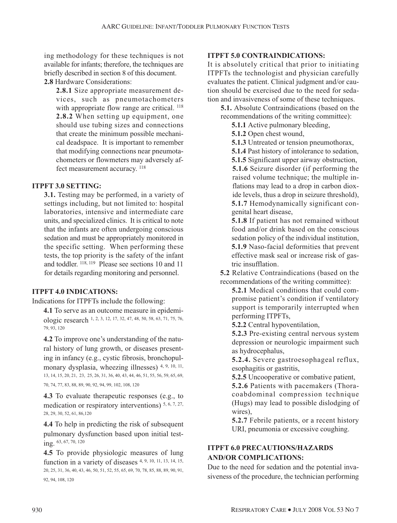ing methodology for these techniques is not available for infants; therefore, the techniques are briefly described in section 8 of this document. **2.8** Hardware Considerations:

**2.8.1** Size appropriate measurement devices, such as pneumotachometers with appropriate flow range are critical. <sup>118</sup> **2.8.2** When setting up equipment, one should use tubing sizes and connections that create the minimum possible mechanical deadspace. It is important to remember that modifying connections near pneumotachometers or flowmeters may adversely affect measurement accuracy.  $^{118}$ 

#### **ITPFT 3.0 SETTING:**

**3.1.** Testing may be performed, in a variety of settings including, but not limited to: hospital laboratories, intensive and intermediate care units, and specialized clinics. It is critical to note that the infants are often undergoing conscious sedation and must be appropriately monitored in the specific setting. When performing these tests, the top priority is the safety of the infant and toddler. 118, 119 Please see sections 10 and 11 for details regarding monitoring and personnel.

# **ITPFT 4.0 INDICATIONS:**

Indications for ITPFTs include the following:

**4.1** To serve as an outcome measure in epidemiologic research 1, 2, 3, 12, 17, 32, 47, 48, 50, 58, 63, 71, 75, 76, 79, 93, 120

**4.2** To improve one's understanding of the natural history of lung growth, or diseases presenting in infancy (e.g., cystic fibrosis, bronchopulmonary dysplasia, wheezing illnesses)  $4, 9, 10, 11$ , 13, 14, 15, 20, 21, 23, 25, 26, 31, 36, 40, 43, 44, 46, 51, 55, 56, 59, 65, 69,

70, 74, 77, 83, 88, 89, 90, 92, 94, 99, 102, 108, 120

**4.3** To evaluate therapeutic responses (e.g., to medication or respiratory interventions)  $5, 6, 7, 27$ , 28, 29, 30, 52, 61, 86,120

**4.4** To help in predicting the risk of subsequent pulmonary dysfunction based upon initial testing. 63, 67, 70, 120

**4.5** To provide physiologic measures of lung function in a variety of diseases  $4, 9, 10, 11, 13, 14, 15$ , 20, 25, 31, 36, 40, 43, 46, 50, 51, 52, 55, 65, 69, 70, 78, 85, 88, 89, 90, 91, 92, 94, 108, 120

#### **ITPFT 5.0 CONTRAINDICATIONS:**

It is absolutely critical that prior to initiating ITPFTs the technologist and physician carefully evaluates the patient. Clinical judgment and/or caution should be exercised due to the need for sedation and invasiveness of some of these techniques.

**5.1.** Absolute Contraindications (based on the recommendations of the writing committee):

**5.1.1** Active pulmonary bleeding,

**5.1.2** Open chest wound,

**5.1.3** Untreated or tension pneumothorax,

**5.1.4** Past history of intolerance to sedation, **5.1.5** Significant upper airway obstruction, **5.1.6** Seizure disorder (if performing the raised volume technique; the multiple inflations may lead to a drop in carbon dioxide levels, thus a drop in seizure threshold), **5.1.7** Hemodynamically significant congenital heart disease,

**5.1.8** If patient has not remained without food and/or drink based on the conscious sedation policy of the individual institution, **5.1.9** Naso-facial deformities that prevent effective mask seal or increase risk of gastric insufflation.

**5.2** Relative Contraindications (based on the recommendations of the writing committee):

**5.2.1** Medical conditions that could compromise patient's condition if ventilatory support is temporarily interrupted when performing ITPFTs,

**5.2.2** Central hypoventilation,

**5.2.3** Pre-existing central nervous system depression or neurologic impairment such as hydrocephalus,

**5.2.4.** Severe gastroesophageal reflux, esophagitis or gastritis,

**5.2.5** Uncooperative or combative patient,

**5.2.6** Patients with pacemakers (Thoracoabdominal compression technique (Hugs) may lead to possible dislodging of wires),

**5.2.7** Febrile patients, or a recent history URI, pneumonia or excessive coughing.

# **ITPFT 6.0 PRECAUTIONS/HAZARDS AND/OR COMPLICATIONS:**

Due to the need for sedation and the potential invasiveness of the procedure, the technician performing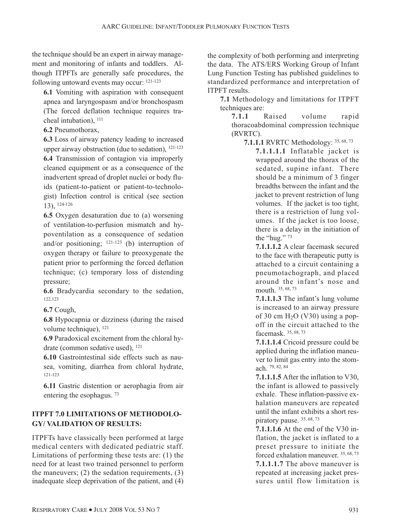the technique should be an expert in airway management and monitoring of infants and toddlers. Although ITPFTs are generally safe procedures, the following untoward events may occur: 121-123

**6.1** Vomiting with aspiration with consequent apnea and laryngospasm and/or bronchospasm (The forced deflation technique requires tracheal intubation), 111

**6.2** Pneumothorax,

**6.3** Loss of airway patency leading to increased upper airway obstruction (due to sedation), 121-123 **6.4** Transmission of contagion via improperly cleaned equipment or as a consequence of the inadvertent spread of droplet nuclei or body fluids (patient-to-patient or patient-to-technologist) Infection control is critical (see section 13), 124-126

**6.5** Oxygen desaturation due to (a) worsening of ventilation-to-perfusion mismatch and hypoventilation as a consequence of sedation and/or positioning;  $121-123$  (b) interruption of oxygen therapy or failure to preoxygenate the patient prior to performing the forced deflation technique; (c) temporary loss of distending pressure;

**6.6** Bradycardia secondary to the sedation, 122,123

**6.7** Cough,

**6.8** Hypocapnia or dizziness (during the raised volume technique), 121

**6.9** Paradoxical excitement from the chloral hydrate (common sedative used), 121

**6.10** Gastrointestinal side effects such as nausea, vomiting, diarrhea from chloral hydrate, 121-123

**6.11** Gastric distention or aerophagia from air entering the esophagus. 73

#### **ITPFT 7.0 LIMITATIONS OF METHODOLO-GY/ VALIDATION OF RESULTS:**

ITPFTs have classically been performed at large medical centers with dedicated pediatric staff. Limitations of performing these tests are: (1) the need for at least two trained personnel to perform the maneuvers; (2) the sedation requirements, (3) inadequate sleep deprivation of the patient, and (4)

the complexity of both performing and interpreting the data. The ATS/ERS Working Group of Infant Lung Function Testing has published guidelines to standardized performance and interpretation of ITPFT results.

**7.1** Methodology and limitations for ITPFT techniques are:

**7.1.1** Raised volume rapid thoracoabdominal compression technique (RVRTC).

**7.1.1.1** RVRTC Methodology: 35, 68, 73

**7.1.1.1.1** Inflatable jacket is wrapped around the thorax of the sedated, supine infant. There should be a minimum of 3 finger breadths between the infant and the jacket to prevent restriction of lung volumes. If the jacket is too tight, there is a restriction of lung volumes. If the jacket is too loose, there is a delay in the initiation of the "hug." 73

**7.1.1.1.2** A clear facemask secured to the face with therapeutic putty is attached to a circuit containing a pneumotachograph, and placed around the infant's nose and mouth. 35, 68, 73

**7.1.1.1.3** The infant's lung volume is increased to an airway pressure of 30 cm  $H<sub>2</sub>O$  (V30) using a popoff in the circuit attached to the facemask. 35, 68, 73

**7.1.1.1.4** Cricoid pressure could be applied during the inflation maneuver to limit gas entry into the stomach. 79, 82, 84

**7.1.1.1.5** After the inflation to V30, the infant is allowed to passively exhale. These inflation-passive exhalation maneuvers are repeated until the infant exhibits a short respiratory pause. 35, 68, 73

**7.1.1.1.6** At the end of the V30 inflation, the jacket is inflated to a preset pressure to initiate the forced exhalation maneuver. 35, 68, 73 **7.1.1.1.7** The above maneuver is repeated at increasing jacket pressures until flow limitation is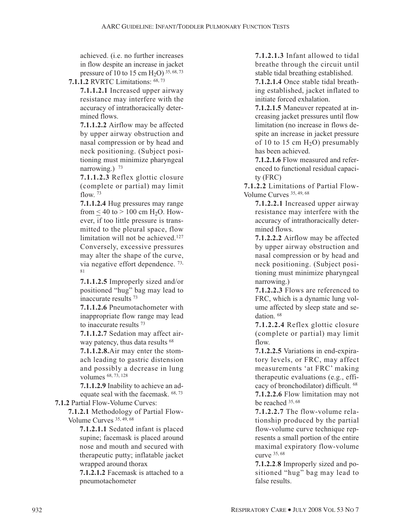achieved. (i.e. no further increases in flow despite an increase in jacket pressure of 10 to 15 cm  $H_2O$ ) 35, 68, 73

**7.1.1.2** RVRTC Limitations: 68, 73

**7.1.1.2.1** Increased upper airway resistance may interfere with the accuracy of intrathoracically determined flows.

**7.1.1.2.2** Airflow may be affected by upper airway obstruction and nasal compression or by head and neck positioning. (Subject positioning must minimize pharyngeal narrowing.)  $73$ 

**7.1.1.2.3** Reflex glottic closure (complete or partial) may limit flow  $73$ 

**7.1.1.2.4** Hug pressures may range from  $< 40$  to  $> 100$  cm H<sub>2</sub>O. However, if too little pressure is transmitted to the pleural space, flow limitation will not be achieved.<sup>127</sup> Conversely, excessive pressures may alter the shape of the curve, via negative effort dependence. 73, 81

**7.1.1.2.5** Improperly sized and/or positioned "hug" bag may lead to inaccurate results 73

**7.1.1.2.6** Pneumotachometer with inappropriate flow range may lead to inaccurate results 73

**7.1.1.2.7** Sedation may affect airway patency, thus data results <sup>68</sup>

**7.1.1.2.8.**Air may enter the stomach leading to gastric distension and possibly a decrease in lung volumes 68, 73, 128

**7.1.1.2.9** Inability to achieve an adequate seal with the facemask.  $68, 73$ 

**7.1.2** Partial Flow-Volume Curves:

**7.1.2.1** Methodology of Partial Flow-Volume Curves 35, 49, 68

**7.1.2.1.1** Sedated infant is placed supine; facemask is placed around nose and mouth and secured with therapeutic putty; inflatable jacket wrapped around thorax

**7.1.2.1.2** Facemask is attached to a pneumotachometer

**7.1.2.1.3** Infant allowed to tidal breathe through the circuit until stable tidal breathing established.

**7.1.2.1.4** Once stable tidal breathing established, jacket inflated to initiate forced exhalation.

**7.1.2.1.5** Maneuver repeated at increasing jacket pressures until flow limitation (no increase in flows despite an increase in jacket pressure of 10 to 15 cm  $H_2O$ ) presumably has been achieved.

**7.1.2.1.6** Flow measured and referenced to functional residual capacity (FRC)

**7.1.2.2** Limitations of Partial Flow-Volume Curves 35, 49, 68

**7.1.2.2.1** Increased upper airway resistance may interfere with the accuracy of intrathoracically determined flows.

**7.1.2.2.2** Airflow may be affected by upper airway obstruction and nasal compression or by head and neck positioning. (Subject positioning must minimize pharyngeal narrowing.)

**7.1.2.2.3** Flows are referenced to FRC, which is a dynamic lung volume affected by sleep state and sedation. 68

**7.1.2.2.4** Reflex glottic closure (complete or partial) may limit flow.

**7.1.2.2.5** Variations in end-expiratory levels, or FRC, may affect measurements 'at FRC' making therapeutic evaluations (e.g., efficacy of bronchodilator) difficult. 68 **7.1.2.2.6** Flow limitation may not be reached 35, 68

**7.1.2.2.7** The flow-volume relationship produced by the partial flow-volume curve technique represents a small portion of the entire maximal expiratory flow-volume curve 35, 68

**7.1.2.2**.**8** Improperly sized and positioned "hug" bag may lead to false results.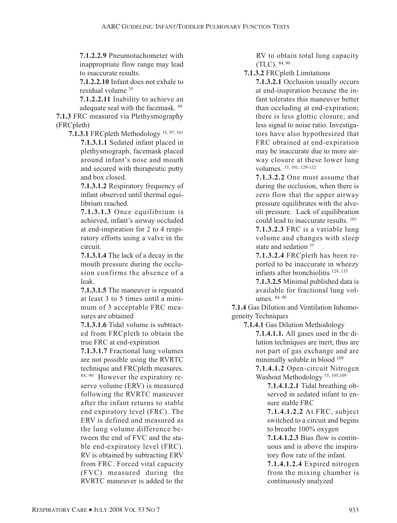**7.1.2.2.9** Pneumotachometer with inappropriate flow range may lead to inaccurate results.

**7.1.2.2.10** Infant does not exhale to residual volume 35

**7.1.2.2.11** Inability to achieve an adequate seal with the facemask. 49

**7.1.3** FRC measured via Plethysmography (FRCpleth)

**7.1.3.1** FRCpleth Methodology 35, 97, 101 **7.1.3.1.1** Sedated infant placed in plethysmograph, facemask placed around infant's nose and mouth and secured with therapeutic putty and box closed.

> **7.1.3.1.2** Respiratory frequency of infant observed until thermal equilibrium reached.

> **7.1.3.1.3** Once equilibrium is achieved, infant's airway occluded at end-inspiration for 2 to 4 respiratory efforts using a valve in the circuit.

> **7.1.3.1.4** The lack of a decay in the mouth pressure during the occlusion confirms the absence of a leak.

> **7.1.3.1.5** The maneuver is repeated at least 3 to 5 times until a minimum of 3 acceptable FRC measures are obtained

> **7.1.3.1.6** Tidal volume is subtracted from FRCpleth to obtain the true FRC at end-expiration

**7.1.3.1.7** Fractional lung volumes are not possible using the RVRTC technique and FRCpleth measures. 84, 90 However the expiratory reserve volume (ERV) is measured following the RVRTC maneuver after the infant returns to stable end expiratory level (FRC). The ERV is defined and measured as the lung volume difference between the end of FVC and the stable end-expiratory level (FRC). RV is obtained by subtracting ERV from FRC. Forced vital capacity (FVC) measured during the RVRTC maneuver is added to the

RV to obtain total lung capacity (TLC). 84, 90

**7.1.3.2** FRCpleth Limitations

**7.1.3.2.1** Occlusion usually occurs at end-inspiration because the infant tolerates this maneuver better than occluding at end-expiration; there is less glottic closure; and less signal to noise ratio. Investigators have also hypothesized that FRC obtained at end-expiration may be inaccurate due to more airway closure at these lower lung volumes. 35, 101, 129-132

**7.1.3.2.2** One must assume that during the occlusion, when there is zero flow that the upper airway pressure equilibrates with the alveoli pressure. Lack of equilibration could lead to inaccurate results. 101

**7.1.3.2.3** FRC is a variable lung volume and changes with sleep state and sedation <sup>35</sup>

**7.1.3.2.4** FRCpleth has been reported to be inaccurate in wheezy infants after bronchiolitis 129, 133

**7.1.3.2.5** Minimal published data is available for fractional lung volumes. 84, 90

**7.1.4** Gas Dilution and Ventilation Inhomogeneity Techniques

**7.1.4.1** Gas Dilution Methodology

**7.1.4.1.1.** All gases used in the dilution techniques are inert, thus are not part of gas exchange and are minimally soluble in blood  $109$ 

**7.1.4.1.2** Open-circuit Nitrogen Washout Methodology 35, 105,109

**7.1.4.1.2.1** Tidal breathing observed in sedated infant to ensure stable FRC

**7.1.4.1.2.2** At FRC, subject switched to a circuit and begins to breathe 100% oxygen

**7.1.4.1.2.3** Bias flow is continuous and is above the inspiratory flow rate of the infant.

**7.1.4.1.2.4** Expired nitrogen from the mixing chamber is continuously analyzed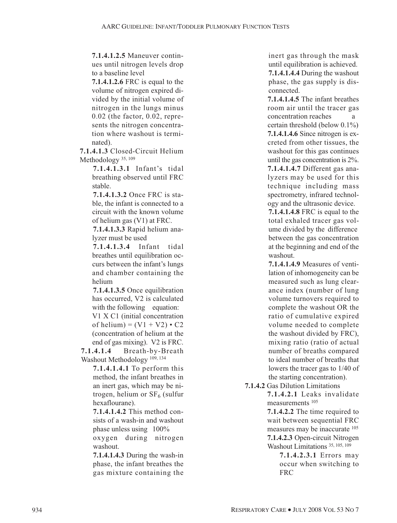**7.1.4.1.2.5** Maneuver continues until nitrogen levels drop to a baseline level

**7.1.4.1.2.6** FRC is equal to the volume of nitrogen expired divided by the initial volume of nitrogen in the lungs minus 0.02 (the factor, 0.02, represents the nitrogen concentration where washout is terminated).

**7.1.4.1.3** Closed-Circuit Helium Methodology<sup>35, 109</sup>

> **7.1.4.1.3.1** Infant's tidal breathing observed until FRC stable.

> **7.1.4.1.3.2** Once FRC is stable, the infant is connected to a circuit with the known volume of helium gas (V1) at FRC.

> **7.1.4.1.3.3** Rapid helium analyzer must be used

> **7.1.4.1.3.4** Infant tidal breathes until equilibration occurs between the infant's lungs and chamber containing the helium

> **7.1.4.1.3.5** Once equilibration has occurred, V2 is calculated with the following equation: V1 X C1 (initial concentration of helium) =  $(V1 + V2) \cdot C2$ (concentration of helium at the end of gas mixing). V2 is FRC.

**7.1.4.1.4** Breath-by-Breath Washout Methodology 109, 134

**7.1.4.1.4.1** To perform this method, the infant breathes in an inert gas, which may be nitrogen, helium or  $SF<sub>6</sub>$  (sulfur hexaflourane).

**7.1.4.1.4.2** This method consists of a wash-in and washout phase unless using 100% oxygen during nitrogen washout.

**7.1.4.1.4.3** During the wash-in phase, the infant breathes the gas mixture containing the

inert gas through the mask until equilibration is achieved. **7.1.4.1.4.4** During the washout phase, the gas supply is disconnected.

**7.1.4.1.4.5** The infant breathes room air until the tracer gas concentration reaches a certain threshold (below 0.1%) **7.1.4.1.4.6** Since nitrogen is excreted from other tissues, the washout for this gas continues until the gas concentration is 2%. **7.1.4.1.4.7** Different gas analyzers may be used for this technique including mass spectrometry, infrared technology and the ultrasonic device.

**7.1.4.1.4.8** FRC is equal to the total exhaled tracer gas volume divided by the difference between the gas concentration at the beginning and end of the washout.

**7.1.4.1.4.9** Measures of ventilation of inhomogeneity can be measured such as lung clearance index (number of lung volume turnovers required to complete the washout OR the ratio of cumulative expired volume needed to complete the washout divided by FRC), mixing ratio (ratio of actual number of breaths compared to ideal number of breaths that lowers the tracer gas to 1/40 of the starting concentration).

**7.1.4.2** Gas Dilution Limitations

**7.1.4.2.1** Leaks invalidate measurements 105

**7.1.4.2.2** The time required to wait between sequential FRC measures may be inaccurate 105 **7.1.4.2.3** Open-circuit Nitrogen Washout Limitations 35, 105, 109

> **7.1.4.2.3.1** Errors may occur when switching to FRC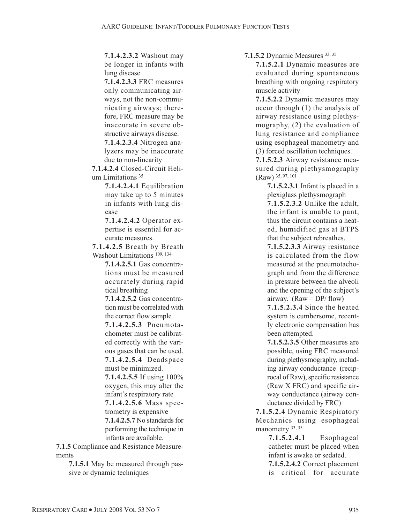**7.1.4.2.3.2** Washout may be longer in infants with lung disease

**7.1.4.2.3.3** FRC measures only communicating airways, not the non-communicating airways; therefore, FRC measure may be inaccurate in severe obstructive airways disease. **7.1.4.2.3.4** Nitrogen ana-

lyzers may be inaccurate due to non-linearity

**7.1.4.2.4** Closed-Circuit Helium Limitations<sup>35</sup>

> **7.1.4.2.4.1** Equilibration may take up to 5 minutes in infants with lung disease

**7.1.4.2.4.2** Operator expertise is essential for accurate measures.

**7.1.4.2.5** Breath by Breath Washout Limitations<sup>109, 134</sup>

> **7.1.4.2.5.1** Gas concentrations must be measured accurately during rapid tidal breathing

> **7.1.4.2.5.2** Gas concentration must be correlated with the correct flow sample

> **7.1.4.2.5.3** Pneumotachometer must be calibrated correctly with the various gases that can be used. **7.1.4.2.5.4** Deadspace

must be minimized.

**7.1.4.2.5.5** If using 100% oxygen, this may alter the infant's respiratory rate **7.1.4.2.5.6** Mass spec-

trometry is expensive **7.1.4.2.5.7** No standards for performing the technique in infants are available.

**7.1.5** Compliance and Resistance Measurements

> **7.1.5.1** May be measured through passive or dynamic techniques

**7.1.5.2** Dynamic Measures 33, 35

**7.1.5.2.1** Dynamic measures are evaluated during spontaneous breathing with ongoing respiratory muscle activity

**7.1.5.2.2** Dynamic measures may occur through (1) the analysis of airway resistance using plethysmography, (2) the evaluation of lung resistance and compliance using esophageal manometry and (3) forced oscillation techniques.

**7.1.5.2.3** Airway resistance measured during plethysmography (Raw) 35, 97, 101

**7.1.5.2.3.1** Infant is placed in a plexiglass plethysmograph

**7.1.5.2.3.2** Unlike the adult, the infant is unable to pant, thus the circuit contains a heated, humidified gas at BTPS that the subject rebreathes.

**7.1.5.2.3.3** Airway resistance is calculated from the flow measured at the pneumotachograph and from the difference in pressure between the alveoli and the opening of the subject's airway.  $(Raw = DP/flow)$ 

**7.1.5.2.3.4** Since the heated system is cumbersome, recently electronic compensation has been attempted.

**7.1.5.2.3.5** Other measures are possible, using FRC measured during plethysmography, including airway conductance (reciprocal of Raw), specific resistance (Raw X FRC) and specific airway conductance (airway conductance divided by FRC)

**7.1.5.2.4** Dynamic Respiratory Mechanics using esophageal manometry 33, 35

> **7.1.5.2.4.1** Esophageal catheter must be placed when infant is awake or sedated.

> **7.1.5.2.4.2** Correct placement is critical for accurate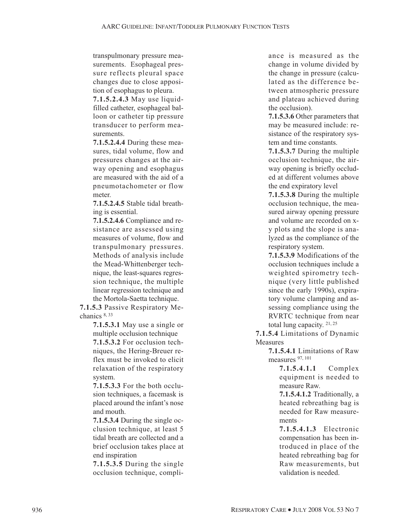transpulmonary pressure measurements. Esophageal pressure reflects pleural space changes due to close apposition of esophagus to pleura.

**7.1.5.2.4.3** May use liquidfilled catheter, esophageal balloon or catheter tip pressure transducer to perform measurements.

**7.1.5.2.4.4** During these measures, tidal volume, flow and pressures changes at the airway opening and esophagus are measured with the aid of a pneumotachometer or flow meter.

**7.1.5.2.4.5** Stable tidal breathing is essential.

**7.1.5.2.4.6** Compliance and resistance are assessed using measures of volume, flow and transpulmonary pressures. Methods of analysis include the Mead-Whittenberger technique, the least-squares regression technique, the multiple linear regression technique and the Mortola-Saetta technique.

**7.1.5.3** Passive Respiratory Mechanics 8, 33

> **7.1.5.3.1** May use a single or multiple occlusion technique **7.1.5.3.2** For occlusion techniques, the Hering-Breuer reflex must be invoked to elicit relaxation of the respiratory system.

> **7.1.5.3.3** For the both occlusion techniques, a facemask is placed around the infant's nose and mouth.

> **7.1.5.3.4** During the single occlusion technique, at least 5 tidal breath are collected and a brief occlusion takes place at end inspiration

> **7.1.5.3.5** During the single occlusion technique, compli-

ance is measured as the change in volume divided by the change in pressure (calculated as the difference between atmospheric pressure and plateau achieved during the occlusion).

**7.1.5.3.6** Other parameters that may be measured include: resistance of the respiratory system and time constants.

**7.1.5.3.7** During the multiple occlusion technique, the airway opening is briefly occluded at different volumes above the end expiratory level

**7.1.5.3.8** During the multiple occlusion technique, the measured airway opening pressure and volume are recorded on xy plots and the slope is analyzed as the compliance of the respiratory system.

**7.1.5.3.9** Modifications of the occlusion techniques include a weighted spirometry technique (very little published since the early 1990s), expiratory volume clamping and assessing compliance using the RVRTC technique from near total lung capacity. 21, 25

**7.1.5.4** Limitations of Dynamic **Measures** 

> **7.1.5.4.1** Limitations of Raw measures 97, 101

> > **7.1.5.4.1.1** Complex equipment is needed to measure Raw.

> > **7.1.5.4.1.2** Traditionally, a heated rebreathing bag is needed for Raw measurements

**7.1.5.4.1.3** Electronic compensation has been introduced in place of the heated rebreathing bag for Raw measurements, but validation is needed.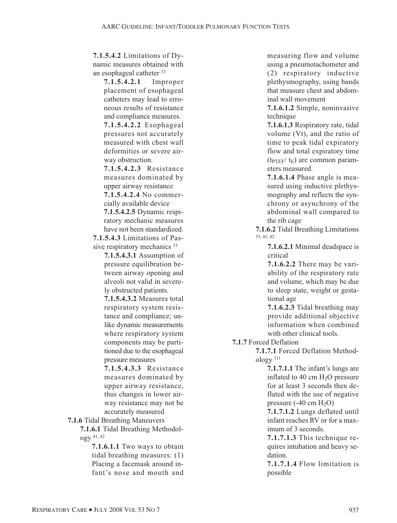**7.1.5.4.2** Limitations of Dynamic measures obtained with an esophageal catheter 33

> **7.1.5.4.2.1** Improper placement of esophageal catheters may lead to erroneous results of resistance and compliance measures.

**7.1.5.4.2.2** Esophageal pressures not accurately measured with chest wall deformities or severe airway obstruction.

**7.1.5.4.2.3** Resistance measures dominated by upper airway resistance **7.1.5.4.2.4** No commercially available device

**7.1.5.4.2.5** Dynamic respiratory mechanic measures have not been standardized.

**7.1.5.4.3** Limitations of Passive respiratory mechanics <sup>33</sup>

> **7.1.5.4.3.1** Assumption of pressure equilibration between airway opening and alveoli not valid in severely obstructed patients.

> **7.1.5.4.3.2** Measures total respiratory system resistance and compliance; unlike dynamic measurements where respiratory system components may be partitioned due to the esophageal pressure measures

> **7.1.5.4.3.3** Resistance measures dominated by upper airway resistance, thus changes in lower airway resistance may not be accurately measured

**7.1.6** Tidal Breathing Maneuvers

**7.1.6.1** Tidal Breathing Methodology 41, 42

> **7.1.6.1.1** Two ways to obtain tidal breathing measures: (1) Placing a facemask around infant's nose and mouth and

measuring flow and volume using a pneumotachometer and (2) respiratory inductive plethysmography, using bands that measure chest and abdominal wall movement

**7.1.6.1.2** Simple, noninvasive technique

**7.1.6.1.3** Respiratory rate, tidal volume (Vt), and the ratio of time to peak tidal expiratory flow and total expiratory time  $(t_{\text{PTEF}}/ t_{\text{F}})$  are common parameters measured.

**7.1.6.1.4** Phase angle is measured using inductive plethysmography and reflects the synchrony or asynchrony of the abdominal wall compared to the rib cage

**7.1.6.2** Tidal Breathing Limitations 35, 41, 42

> **7.1.6.2.1** Minimal deadspace is critical

> **7.1.6.2.2** There may be variability of the respiratory rate and volume, which may be due to sleep state, weight or gestational age

> **7.1.6.2.3** Tidal breathing may provide additional objective information when combined with other clinical tools.

**7.1.7** Forced Deflation

**7.1.7.1** Forced Deflation Methodology 111

> **7.1.7.1.1** The infant's lungs are inflated to 40 cm  $H<sub>2</sub>O$  pressure for at least 3 seconds then deflated with the use of negative pressure  $(-40 \text{ cm } H_2O)$

> **7.1.7.1.2** Lungs deflated until infant reaches RV or for a maximum of 3 seconds.

> **7.1.7.1.3** This technique requires intubation and heavy sedation.

> **7.1.7.1.4** Flow limitation is possible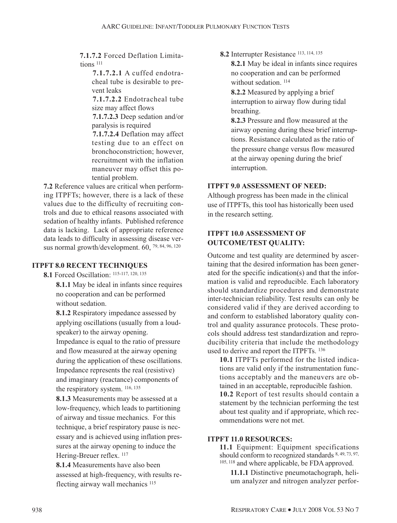**7.1.7.2** Forced Deflation Limitations 111

> **7.1.7.2.1** A cuffed endotracheal tube is desirable to prevent leaks

> **7.1.7.2.2** Endotracheal tube size may affect flows

> **7.1.7.2.3** Deep sedation and/or paralysis is required

> **7.1.7.2.4** Deflation may affect testing due to an effect on bronchoconstriction; however, recruitment with the inflation maneuver may offset this potential problem.

**7.2** Reference values are critical when performing ITPFTs; however, there is a lack of these values due to the difficulty of recruiting controls and due to ethical reasons associated with sedation of healthy infants. Published reference data is lacking. Lack of appropriate reference data leads to difficulty in assessing disease versus normal growth/development. 60, 79, 84, 96, 120

#### **ITPFT 8.0 RECENT TECHNIQUES**

**8.1** Forced Oscillation: 115-117, 120, 135

**8.1.1** May be ideal in infants since requires no cooperation and can be performed without sedation.

**8.1.2** Respiratory impedance assessed by applying oscillations (usually from a loudspeaker) to the airway opening.

Impedance is equal to the ratio of pressure and flow measured at the airway opening during the application of these oscillations. Impedance represents the real (resistive) and imaginary (reactance) components of the respiratory system. 116, 135

**8.1.3** Measurements may be assessed at a low-frequency, which leads to partitioning of airway and tissue mechanics. For this technique, a brief respiratory pause is necessary and is achieved using inflation pressures at the airway opening to induce the Hering-Breuer reflex. <sup>117</sup>

**8.1.4** Measurements have also been assessed at high-frequency, with results reflecting airway wall mechanics 115

**8.2** Interrupter Resistance 113, 114, 135

**8.2.1** May be ideal in infants since requires no cooperation and can be performed without sedation.<sup>114</sup>

**8.2.2** Measured by applying a brief interruption to airway flow during tidal breathing.

**8.2.3** Pressure and flow measured at the airway opening during these brief interruptions. Resistance calculated as the ratio of the pressure change versus flow measured at the airway opening during the brief interruption.

#### **ITPFT 9.0 ASSESSMENT OF NEED:**

Although progress has been made in the clinical use of ITPFTs, this tool has historically been used in the research setting.

#### **ITPFT 10.0 ASSESSMENT OF OUTCOME/TEST QUALITY:**

Outcome and test quality are determined by ascertaining that the desired information has been generated for the specific indication(s) and that the information is valid and reproducible. Each laboratory should standardize procedures and demonstrate inter-technician reliability. Test results can only be considered valid if they are derived according to and conform to established laboratory quality control and quality assurance protocols. These protocols should address test standardization and reproducibility criteria that include the methodology used to derive and report the ITPFTs. 136

**10.1** ITPFTs performed for the listed indications are valid only if the instrumentation functions acceptably and the maneuvers are obtained in an acceptable, reproducible fashion.

**10.2** Report of test results should contain a statement by the technician performing the test about test quality and if appropriate, which recommendations were not met.

#### **ITPFT 11.0 RESOURCES:**

**11.1** Equipment: Equipment specifications should conform to recognized standards 8, 49, 73, 97, 105, 118 and where applicable, be FDA approved.

**11.1.1** Distinctive pneumotachograph, helium analyzer and nitrogen analyzer perfor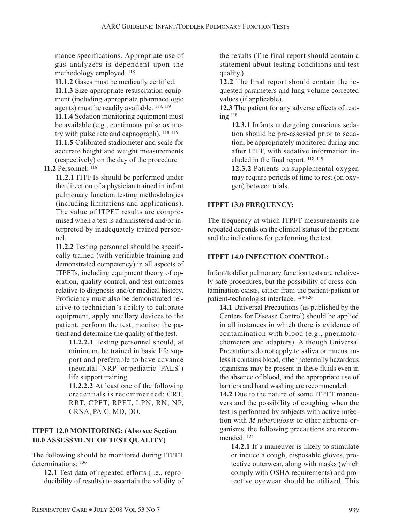mance specifications. Appropriate use of gas analyzers is dependent upon the methodology employed. 118

**11.1.2** Gases must be medically certified.

**11.1.3** Size-appropriate resuscitation equipment (including appropriate pharmacologic agents) must be readily available. 118, 119

**11.1.4** Sedation monitoring equipment must be available (e.g., continuous pulse oximetry with pulse rate and capnograph). 118, 119

**11.1.5** Calibrated stadiometer and scale for accurate height and weight measurements (respectively) on the day of the procedure

**11.2** Personnel: 118

**11.2.1** ITPFTs should be performed under the direction of a physician trained in infant pulmonary function testing methodologies (including limitations and applications). The value of ITPFT results are compromised when a test is administered and/or interpreted by inadequately trained personnel.

**11.2.2** Testing personnel should be specifically trained (with verifiable training and demonstrated competency) in all aspects of ITPFTs, including equipment theory of operation, quality control, and test outcomes relative to diagnosis and/or medical history. Proficiency must also be demonstrated relative to technician's ability to calibrate equipment, apply ancillary devices to the patient, perform the test, monitor the patient and determine the quality of the test.

**11.2.2.1** Testing personnel should, at minimum, be trained in basic life support and preferable to have advance (neonatal [NRP] or pediatric [PALS]) life support training

**11.2.2.2** At least one of the following credentials is recommended: CRT, RRT, CPFT, RPFT, LPN, RN, NP, CRNA, PA-C, MD, DO.

# **ITPFT 12.0 MONITORING: (Also see Section 10.0 ASSESSMENT OF TEST QUALITY)**

The following should be monitored during ITPFT determinations: 136

**12.1** Test data of repeated efforts (i.e., reproducibility of results) to ascertain the validity of the results (The final report should contain a statement about testing conditions and test quality.)

**12.2** The final report should contain the requested parameters and lung-volume corrected values (if applicable).

**12.3** The patient for any adverse effects of testing 118

**12.3.1** Infants undergoing conscious sedation should be pre-assessed prior to sedation, be appropriately monitored during and after IPFT, with sedative information included in the final report. 118, 119

**12.3.2** Patients on supplemental oxygen may require periods of time to rest (on oxygen) between trials.

# **ITPFT 13.0 FREQUENCY:**

The frequency at which ITPFT measurements are repeated depends on the clinical status of the patient and the indications for performing the test.

# **ITPFT 14.0 INFECTION CONTROL:**

Infant/toddler pulmonary function tests are relatively safe procedures, but the possibility of cross-contamination exists, either from the patient-patient or patient-technologist interface. 124-126

**14.1** Universal Precautions (as published by the Centers for Disease Control) should be applied in all instances in which there is evidence of contamination with blood (e.g., pneumotachometers and adapters). Although Universal Precautions do not apply to saliva or mucus unless it contains blood, other potentially hazardous organisms may be present in these fluids even in the absence of blood, and the appropriate use of barriers and hand washing are recommended.

**14.2** Due to the nature of some ITPFT maneuvers and the possibility of coughing when the test is performed by subjects with active infection with *M tuberculosis* or other airborne organisms, the following precautions are recommended: 124

**14.2.1** If a maneuver is likely to stimulate or induce a cough, disposable gloves, protective outerwear, along with masks (which comply with OSHA requirements) and protective eyewear should be utilized. This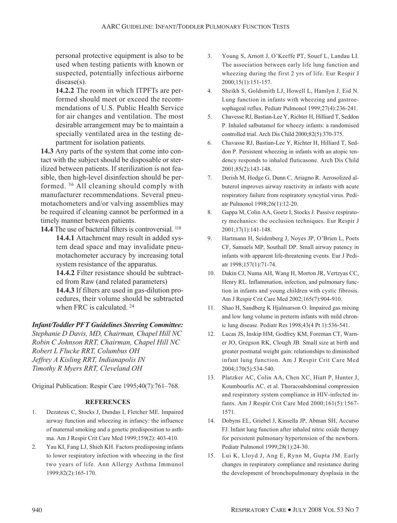personal protective equipment is also to be used when testing patients with known or suspected, potentially infectious airborne disease(s).

**14.2.2** The room in which ITPFTs are performed should meet or exceed the recommendations of U.S. Public Health Service for air changes and ventilation. The most desirable arrangement may be to maintain a specially ventilated area in the testing department for isolation patients.

**14.3** Any parts of the system that come into contact with the subject should be disposable or sterilized between patients. If sterilization is not feasible, then high-level disinfection should be performed. 36 All cleaning should comply with manufacturer recommendations. Several pneumotachometers and/or valving assemblies may be required if cleaning cannot be performed in a timely manner between patients.

**14.4** The use of bacterial filters is controversial. 118 **14.4.1** Attachment may result in added system dead space and may invalidate pneumotachometer accuracy by increasing total system resistance of the apparatus. **14.4.2** Filter resistance should be subtract-

ed from Raw (and related parameters) **14.4.3** If filters are used in gas-dilution procedures, their volume should be subtracted when FRC is calculated. <sup>24</sup>

#### *Infant/Toddler PFT Guidelines Steering Committee:*

*Stephanie D Davis, MD, Chairman, Chapel Hill NC Robin C Johnson RRT, Chairman, Chapel Hill NC Robert L Flucke RRT, Columbus OH Jeffrey A Kisling RRT, Indianapolis IN Timothy R Myers RRT, Cleveland OH*

Original Publication: Respir Care 1995;40(7):761–768.

#### **REFERENCES**

- 1. Dezateux C, Stocks J, Dundas I, Fletcher ME. Impaired airway function and wheezing in infancy: the influence of maternal smoking and a genetic predisposition to asthma. Am J Respir Crit Care Med 1999;159(2): 403-410.
- 2. Yau KI, Fang LJ, Shieh KH. Factors predisposing infants to lower respiratory infection with wheezing in the first two years of life. Ann Allergy Asthma Immunol 1999;82(2):165-170.
- 3. Young S, Arnott J, O'Keeffe PT, Souef L, Landau LI. The association between early life lung function and wheezing during the first 2 yrs of life. Eur Respir J 2000;15(1):151-157.
- 4. Sheikh S, Goldsmith LJ, Howell L, Hamlyn J, Eid N. Lung function in infants with wheezing and gastroesophageal reflux. Pediatr Pulmonol 1999;27(4):236-241.
- 5. Chavesse RJ, Bastian-Lee Y, Richter H, Hilliard T, Seddon P. Inhaled salbutamol for wheezy infants: a randomised controlled trial. Arch Dis Child 2000;82(5):370-375.
- 6. Chavasse RJ, Bastian-Lee Y, Richter H, Hilliard T, Seddon P. Persistent wheezing in infants with an atopic tendency responds to inhaled fluticasone. Arch Dis Child 2001;85(2):143-148.
- 7. Derish M, Hodge G, Dunn C, Ariagno R. Aerosolized albuterol improves airway reactivity in infants with acute respiratory failure from respiratory syncytial virus. Pediatr Pulmonol 1998;26(1):12-20.
- 8. Gappa M, Colin AA, Goetz I, Stocks J. Passive respiratory mechanics: the occlusion techniques. Eur Respir J 2001;17(1):141-148.
- 9. Hartmann H, Seidenberg J, Noyes JP, O'Brien L, Poets CF, Samuels MP, Southall DP. Small airway patency in infants with apparent life-threatening events. Eur J Pediatr 1998;157(1):71-74.
- 10. Dakin CJ, Numa AH, Wang H, Morton JR, Vertzyas CC, Henry RL. Inflammation, infection, and pulmonary function in infants and young children with cystic fibrosis. Am J Respir Crit Care Med 2002;165(7):904-910.
- 11. Shao H, Sandberg K Hjalmarson O. Impaired gas mixing and low lung volume in preterm infants with mild chronic lung disease. Pediatr Res 1998;43(4 Pt 1):536-541.
- 12. Lucas JS, Inskip HM, Godfrey KM, Foreman CT, Warner JO, Gregson RK, Clough JB. Small size at birth and greater postnatal weight gain: relationships to diminished infant lung function. Am J Respir Crit Care Med 2004;170(5):534-540.
- 13. Platzker AC, Colin AA, Chen XC, Hiatt P, Hunter J, Koumbourlis AC, et al. Thoracoabdominal compression and respiratory system compliance in HIV-infected infants. Am J Respir Crit Care Med 2000;161(5):1567- 1571.
- 14. Dobyns EL, Griebel J, Kinsella JP, Abman SH, Accurso FJ. Infant lung function after inhaled nitric oxide therapy for persistent pulmonary hypertension of the newborn. Pediatr Pulmonol 1999;28(1):24-30.
- 15. Lui K, Lloyd J, Ang E, Rynn M, Gupta JM. Early changes in respiratory compliance and resistance during the development of bronchopulmonary dysplasia in the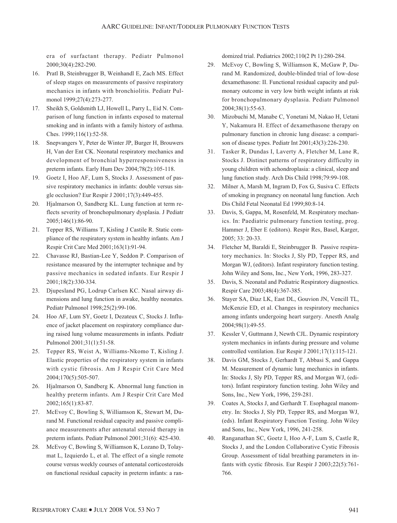era of surfactant therapy. Pediatr Pulmonol 2000;30(4):282-290.

- 16. Pratl B, Steinbrugger B, Weinhandl E, Zach MS. Effect of sleep stages on measurements of passive respiratory mechanics in infants with bronchiolitis. Pediatr Pulmonol 1999;27(4):273-277.
- 17. Sheikh S, Goldsmith LJ, Howell L, Parry L, Eid N. Comparison of lung function in infants exposed to maternal smoking and in infants with a family history of asthma. Ches. 1999;116(1):52-58.
- 18. Snepvangers Y, Peter de Winter JP, Burger H, Brouwers H, Van der Ent CK. Neonatal respiratory mechanics and development of bronchial hyperresponsiveness in preterm infants. Early Hum Dev 2004;78(2):105-118.
- 19. Goetz I, Hoo AF, Lum S, Stocks J. Assessment of passive respiratory mechanics in infants: double versus single occlusion? Eur Respir J 2001;17(3):449-455.
- 20. Hjalmarson O, Sandberg KL. Lung function at term reflects severity of bronchopulmonary dysplasia. J Pediatr 2005;146(1):86-90.
- 21. Tepper RS, Williams T, Kisling J Castile R. Static compliance of the respiratory system in healthy infants. Am J Respir Crit Care Med 2001;163(1):91-94.
- 22. Chavasse RJ, Bastian-Lee Y, Seddon P. Comparison of resistance measured by the interrupter technique and by passive mechanics in sedated infants. Eur Respir J 2001;18(2):330-334.
- 23. Djupesland PG, Lodrup Carlsen KC. Nasal airway dimensions and lung function in awake, healthy neonates. Pediatr Pulmonol 1998;25(2):99-106.
- 24. Hoo AF, Lum SY, Goetz I, Dezateux C, Stocks J. Influence of jacket placement on respiratory compliance during raised lung volume measurements in infants. Pediatr Pulmonol 2001;31(1):51-58.
- 25. Tepper RS, Weist A, Williams-Nkomo T, Kisling J. Elastic properties of the respiratory system in infants with cystic fibrosis. Am J Respir Crit Care Med 2004;170(5):505-507.
- 26. Hjalmarson O, Sandberg K. Abnormal lung function in healthy preterm infants. Am J Respir Crit Care Med 2002;165(1):83-87.
- 27. McEvoy C, Bowling S, Williamson K, Stewart M, Durand M. Functional residual capacity and passive compliance measurements after antenatal steroid therapy in preterm infants. Pediatr Pulmonol 2001;31(6): 425-430.
- 28. McEvoy C, Bowling S, Williamson K, Lozano D, Tolaymat L, Izquierdo L, et al. The effect of a single remote course versus weekly courses of antenatal corticosteroids on functional residual capacity in preterm infants: a ran-

domized trial. Pediatrics 2002;110(2 Pt 1):280-284.

- 29. McEvoy C, Bowling S, Williamson K, McGaw P, Durand M. Randomized, double-blinded trial of low-dose dexamethasone: II. Functional residual capacity and pulmonary outcome in very low birth weight infants at risk for bronchopulmonary dysplasia. Pediatr Pulmonol 2004;38(1):55-63.
- 30. Mizobuchi M, Manabe C, Yonetani M, Nakao H, Uetani Y, Nakamura H. Effect of dexamethasone therapy on pulmonary function in chronic lung disease: a comparison of disease types. Pediatr Int 2001;43(3):226-230.
- 31. Tasker R, Dundas I, Laverty A, Fletcher M, Lane R, Stocks J. Distinct patterns of respiratory difficulty in young children with achondroplasia: a clinical, sleep and lung function study. Arch Dis Child 1998;79:99-108.
- 32. Milner A, Marsh M, Ingram D, Fox G, Susiva C. Effects of smoking in pregnancy on neonatal lung function. Arch Dis Child Fetal Neonatal Ed 1999;80:8-14.
- 33. Davis, S, Gappa, M, Rosenfeld, M. Respiratory mechanics. In: Paediatric pulmonary function testing, prog. Hammer J, Eber E (editors). Respir Res, Basel, Karger, 2005; 33: 20-33.
- 34. Fletcher M, Baraldi E, Steinbrugger B. Passive respiratory mechanics. In: Stocks J, Sly PD, Tepper RS, and Morgan WJ, (editors). Infant respiratory function testing. John Wiley and Sons, Inc., New York, 1996, 283-327.
- 35. Davis, S. Neonatal and Pediatric Respiratory diagnostics. Respir Care 2003;48(4):367-385.
- 36. Stayer SA, Diaz LK, East DL, Gouvion JN, Vencill TL, McKenzie ED, et al. Changes in respiratory mechanics among infants undergoing heart surgery. Anesth Analg 2004;98(1):49-55.
- 37. Kessler V, Guttmann J, Newth CJL. Dynamic respiratory system mechanics in infants during pressure and volume controlled ventilation. Eur Respir J 2001;17(1):115-121.
- 38. Davis GM, Stocks J, Gerhardt T, Abbasi S, and Gappa M. Measurement of dynamic lung mechanics in infants. In: Stocks J, Sly PD, Tepper RS, and Morgan WJ, (editors). Infant respiratory function testing. John Wiley and Sons, Inc., New York, 1996, 259-281.
- 39. Coates A, Stocks J, and Gerhardt T. Esophageal manometry. In: Stocks J, Sly PD, Tepper RS, and Morgan WJ, (eds). Infant Respiratory Function Testing. John Wiley and Sons, Inc., New York, 1996, 241-258.
- 40. Ranganathan SC, Goetz I, Hoo A-F, Lum S, Castle R, Stocks J, and the London Collaborative Cystic Fibrosis Group. Assessment of tidal breathing parameters in infants with cystic fibrosis. Eur Respir J 2003;22(5):761- 766.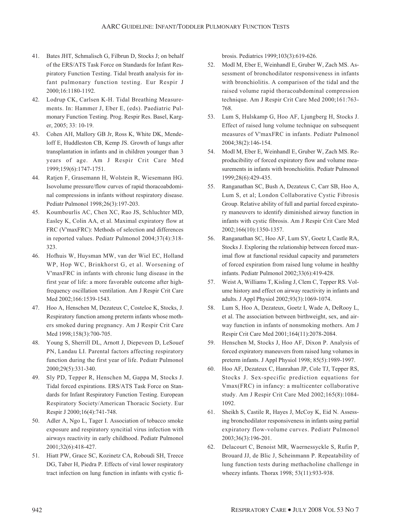- 41. Bates JHT, Schmalisch G, Filbrun D, Stocks J; on behalf of the ERS/ATS Task Force on Standards for Infant Respiratory Function Testing. Tidal breath analysis for infant pulmonary function testing. Eur Respir J 2000;16:1180-1192.
- 42. Lodrup CK, Carlsen K-H. Tidal Breathing Measurements. In: Hammer J, Eber E, (eds). Paediatric Pulmonary Function Testing. Prog. Respir Res. Basel, Karger, 2005; 33: 10-19.
- 43. Cohen AH, Mallory GB Jr, Ross K, White DK, Mendeloff E, Huddleston CB, Kemp JS. Growth of lungs after transplantation in infants and in children younger than 3 years of age. Am J Respir Crit Care Med 1999;159(6):1747-1751.
- 44. Ratjen F, Grasemann H, Wolstein R, Wiesemann HG. Isovolume pressure/flow curves of rapid thoracoabdominal compressions in infants without respiratory disease. Pediatr Pulmonol 1998;26(3):197-203.
- 45. Koumbourlis AC, Chen XC, Rao JS, Schluchter MD, Easley K, Colin AA, et al. Maximal expiratory flow at FRC (V'maxFRC): Methods of selection and differences in reported values. Pediatr Pulmonol 2004;37(4):318- 323.
- 46. Hofhuis W, Huysman MW, van der Wiel EC, Holland WP, Hop WC, Brinkhorst G, et al. Worsening of V'maxFRC in infants with chronic lung disease in the first year of life: a more favorable outcome after highfrequency oscillation ventilation. Am J Respir Crit Care Med 2002;166:1539-1543.
- 47. Hoo A, Henschen M, Dezateux C, Costeloe K, Stocks, J. Respiratory function among preterm infants whose mothers smoked during pregnancy. Am J Respir Crit Care Med 1998;158(3):700-705.
- 48. Young S, Sherrill DL, Arnott J, Diepeveen D, LeSouef PN, Landau LI. Parental factors affecting respiratory function during the first year of life. Pediatr Pulmonol 2000;29(5):331-340.
- 49. Sly PD, Tepper R, Henschen M, Gappa M, Stocks J. Tidal forced expirations. ERS/ATS Task Force on Standards for Infant Respiratory Function Testing. European Respiratory Society/American Thoracic Society. Eur Respir J 2000;16(4):741-748.
- 50. Adler A, Ngo L, Tager I. Association of tobacco smoke exposure and respiratory syncitial virus infection with airways reactivity in early childhood. Pediatr Pulmonol 2001;32(6):418-427.
- 51. Hiatt PW, Grace SC, Kozinetz CA, Roboudi SH, Treece DG, Taber H, Piedra P. Effects of viral lower respiratory tract infection on lung function in infants with cystic fi-

brosis. Pediatrics 1999;103(3):619-626.

- 52. Modl M, Eber E, Weinhandl E, Gruber W, Zach MS. Assessment of bronchodilator responsiveness in infants with bronchiolitis. A comparison of the tidal and the raised volume rapid thoracoabdominal compression technique. Am J Respir Crit Care Med 2000;161:763- 768.
- 53. Lum S, Hulskamp G, Hoo AF, Ljungberg H, Stocks J. Effect of raised lung volume technique on subsequent measures of V'maxFRC in infants. Pediatr Pulmonol 2004;38(2):146-154.
- 54. Modl M, Eber E, Weinhandl E, Gruber W, Zach MS. Reproducibility of forced expiratory flow and volume measurements in infants with bronchiolitis. Pediatr Pulmonol 1999;28(6):429-435.
- 55. Ranganathan SC, Bush A, Dezateux C, Carr SB, Hoo A, Lum S, et al; London Collaborative Cystic Fibrosis Group. Relative ability of full and partial forced expiratory maneuvers to identify diminished airway function in infants with cystic fibrosis. Am J Respir Crit Care Med 2002;166(10):1350-1357.
- 56. Ranganathan SC, Hoo AF, Lum SY, Goetz I, Castle RA, Stocks J. Exploring the relationship between forced maximal flow at functional residual capacity and parameters of forced expiration from raised lung volume in healthy infants. Pediatr Pulmonol 2002;33(6):419-428.
- 57. Weist A, Williams T, Kisling J, Clem C, Tepper RS. Volume history and effect on airway reactivity in infants and adults. J Appl Physiol 2002;93(3):1069-1074.
- 58. Lum S, Hoo A, Dezateux, Goetz I, Wade A, DeRooy L, et al. The association between birthweight, sex, and airway function in infants of nonsmoking mothers. Am J Respir Crit Care Med 2001;164(11):2078-2084.
- 59. Henschen M, Stocks J, Hoo AF, Dixon P. Analysis of forced expiratory maneuvers from raised lung volumes in preterm infants. J Appl Physiol 1998; 85(5):1989-1997.
- 60. Hoo AF, Dezateux C, Hanrahan JP, Cole TJ, Tepper RS, Stocks J. Sex-specific prediction equations for Vmax(FRC) in infancy: a multicenter collaborative study. Am J Respir Crit Care Med 2002;165(8):1084- 1092.
- 61. Sheikh S, Castile R, Hayes J, McCoy K, Eid N. Assessing bronchodilator responsiveness in infants using partial expiratory flow-volume curves. Pediatr Pulmonol 2003;36(3):196-201.
- 62. Delacourt C, Benoist MR, Waernessyckle S, Rufin P, Brouard JJ, de Blic J, Scheinmann P. Repeatability of lung function tests during methacholine challenge in wheezy infants. Thorax 1998; 53(11):933-938.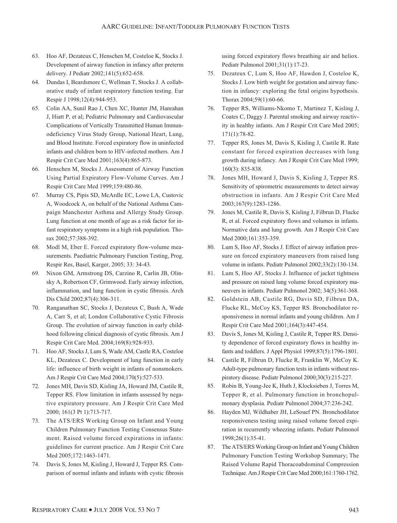- 63. Hoo AF, Dezateux C, Henschen M, Costeloe K, Stocks J. Development of airway function in infancy after preterm delivery. J Pediatr 2002;141(5):652-658.
- 64. Dundas I, Beardsmore C, Wellman T, Stocks J. A collaborative study of infant respiratory function testing. Eur Respir J 1998;12(4):944-953.
- 65. Colin AA, Sunil Rao J, Chen XC, Hunter JM, Hanrahan J, Hiatt P, et al; Pediatric Pulmonary and Cardiovascular Complications of Vertically Transmitted Human Immunodeficiency Virus Study Group, National Heart, Lung, and Blood Institute. Forced expiratory flow in uninfected infants and children born to HIV-infected mothers. Am J Respir Crit Care Med 2001;163(4):865-873.
- 66. Henschen M, Stocks J. Assessment of Airway Function Using Partial Expiratory Flow-Volume Curves. Am J Respir Crit Care Med 1999;159:480-86.
- 67. Murray CS, Pipis SD, McArdle EC, Lowe LA, Custovic A, Woodcock A, on behalf of the National Asthma Campaign Manchester Asthma and Allergy Study Group. Lung function at one month of age as a risk factor for infant respiratory symptoms in a high risk population. Thorax 2002;57:388-392.
- 68. Modl M, Eber E. Forced expiratory flow-volume measurements. Paediatric Pulmonary Function Testing, Prog. Respir Res, Basel, Karger, 2005; 33: 34-43.
- 69. Nixon GM, Armstrong DS, Carzino R, Carlin JB, Olinsky A, Robertson CF, Grimwood. Early airway infection, inflammation, and lung function in cystic fibrosis. Arch Dis Child 2002;87(4):306-311.
- 70. Ranganathan SC, Stocks J, Dezateux C, Bush A, Wade A, Carr S, et al; London Collaborative Cystic Fibrosis Group. The evolution of airway function in early childhood following clinical diagnosis of cystic fibrosis. Am J Respir Crit Care Med. 2004;169(8):928-933.
- 71. Hoo AF, Stocks J, Lum S, Wade AM, Castle RA, Costeloe KL, Dezateux C. Development of lung function in early life: influence of birth weight in infants of nonsmokers. Am J Respir Crit Care Med 2004;170(5):527-533.
- 72. Jones MH, Davis SD, Kisling JA, Howard JM, Castile R, Tepper RS. Flow limitation in infants assessed by negative expiratory pressure. Am J Respir Crit Care Med 2000; 161(3 Pt 1):713-717.
- 73. The ATS/ERS Working Group on Infant and Young Children Pulmonary Function Testing Consensus Statement. Raised volume forced expirations in infants: guidelines for current practice. Am J Respir Crit Care Med 2005;172:1463-1471.
- 74. Davis S, Jones M, Kisling J, Howard J, Tepper RS. Comparison of normal infants and infants with cystic fibrosis

using forced expiratory flows breathing air and heliox. Pediatr Pulmonol 2001;31(1):17-23.

- 75. Dezateux C, Lum S, Hoo AF, Hawdon J, Costeloe K, Stocks J. Low birth weight for gestation and airway function in infancy: exploring the fetal origins hypothesis. Thorax 2004;59(1):60-66.
- 76. Tepper RS, Williams-Nkomo T, Martinez T, Kisling J, Coates C, Daggy J. Parental smoking and airway reactivity in healthy infants. Am J Respir Crit Care Med 2005; 171(1):78-82.
- 77. Tepper RS, Jones M, Davis S, Kisling J, Castile R. Rate constant for forced expiration decreases with lung growth during infancy. Am J Respir Crit Care Med 1999; 160(3): 835-838.
- 78. Jones MH, Howard J, Davis S, Kisling J, Tepper RS. Sensitivity of spirometric measurements to detect airway obstruction in infants. Am J Respir Crit Care Med 2003;167(9):1283-1286.
- 79. Jones M, Castile R, Davis S, Kisling J, Filbrun D, Flucke R, et al. Forced expiratory flows and volumes in infants. Normative data and lung growth. Am J Respir Crit Care Med 2000;161:353-359.
- 80. Lum S, Hoo AF, Stocks J. Effect of airway inflation pressure on forced expiratory maneuvers from raised lung volume in infants. Pediatr Pulmonol 2002;33(2):130-134.
- 81. Lum S, Hoo AF, Stocks J. Influence of jacket tightness and pressure on raised lung volume forced expiratory maneuvers in infants. Pediatr Pulmonol 2002; 34(5):361-368.
- 82. Goldstein AB, Castile RG, Davis SD, Filbrun DA, Flucke RL, McCoy KS, Tepper RS. Bronchodilator responsiveness in normal infants and young children. Am J Respir Crit Care Med 2001;164(3):447-454.
- 83. Davis S, Jones M, Kisling J, Castile R, Tepper RS. Density dependence of forced expiratory flows in healthy infants and toddlers. J Appl Physiol 1999;87(5):1796-1801.
- 84. Castile R, Filbrun D, Flucke R, Franklin W, McCoy K. Adult-type pulmonary function tests in infants without respiratory disease. Pediatr Pulmonol 2000;30(3):215-227.
- 85. Robin B, Young-Jee K, Huth J, Klocksieben J, Torres M, Tepper R, et al. Pulmonary function in bronchopulmonary dysplasia. Pediatr Pulmonol 2004;37:236-242.
- 86. Hayden MJ, Wildhaber JH, LeSouef PN. Bronchodilator responsiveness testing using raised volume forced expiration in recurrently wheezing infants. Pediatr Pulmonol 1998;26(1):35-41.
- 87. The ATS/ERS Working Group on Infant and Young Children Pulmonary Function Testing Workshop Summary; The Raised Volume Rapid Thoracoabdominal Compression Technique. Am J Respir Crit Care Med 2000;161:1760-1762.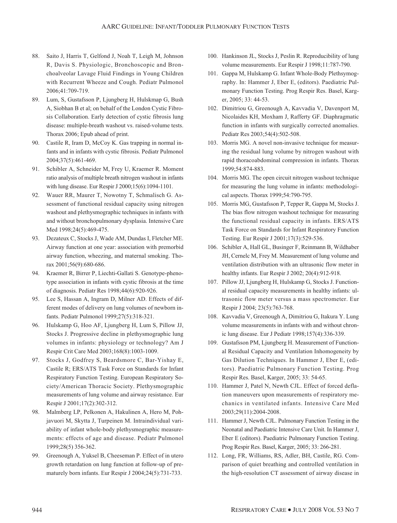- 88. Saito J, Harris T, Gelfond J, Noah T, Leigh M, Johnson R, Davis S. Physiologic, Bronchoscopic and Bronchoalveolar Lavage Fluid Findings in Young Children with Recurrent Wheeze and Cough. Pediatr Pulmonol 2006;41:709-719.
- 89. Lum, S, Gustafsson P, Ljungberg H, Hulskmap G, Bush A, Siobhan B et al; on behalf of the London Cystic Fibrosis Collaboration. Early detection of cystic fibrosis lung disease: multiple-breath washout vs. raised-volume tests. Thorax 2006; Epub ahead of print.
- 90. Castile R, Iram D, McCoy K. Gas trapping in normal infants and in infants with cystic fibrosis. Pediatr Pulmonol 2004;37(5):461-469.
- 91. Schibler A, Schneider M, Frey U, Kraemer R. Moment ratio analysis of multiple breath nitrogen washout in infants with lung disease. Eur Respir J 2000;15(6):1094-1101.
- 92. Wauer RR, Maurer T, Nowotny T, Schmalisch G. Assessment of functional residual capacity using nitrogen washout and plethysmographic techniques in infants with and without bronchopulmonary dysplasia. Intensive Care Med 1998;24(5):469-475.
- 93. Dezateux C, Stocks J, Wade AM, Dundas I, Fletcher ME. Airway function at one year: association with premorbid airway function, wheezing, and maternal smoking. Thorax 2001;56(9):680-686.
- 94. Kraemer R, Birrer P, Liechti-Gallati S. Genotype-phenotype association in infants with cystic fibrosis at the time of diagnosis. Pediatr Res 1998;44(6):920-926.
- 95. Lee S, Hassan A, Ingram D, Milner AD. Effects of different modes of delivery on lung volumes of newborn infants. Pediatr Pulmonol 1999;27(5):318-321.
- 96. Hulskamp G, Hoo AF, Ljungberg H, Lum S, Pillow JJ, Stocks J. Progressive decline in plethysmographic lung volumes in infants: physiology or technology? Am J Respir Crit Care Med 2003;168(8):1003-1009.
- 97. Stocks J, Godfrey S, Beardsmore C, Bar-Yishay E, Castile R; ERS/ATS Task Force on Standards for Infant Respiratory Function Testing. European Respiratory Society/American Thoracic Society. Plethysmographic measurements of lung volume and airway resistance. Eur Respir J 2001;17(2):302-312.
- 98. Malmberg LP, Pelkonen A, Hakulinen A, Hero M, Pohjavuori M, Skytta J, Turpeinen M. Intraindividual variability of infant whole-body plethysmographic measurements: effects of age and disease. Pediatr Pulmonol 1999;28(5) 356-362.
- 99. Greenough A, Yuksel B, Cheeseman P. Effect of in utero growth retardation on lung function at follow-up of prematurely born infants. Eur Respir J 2004;24(5):731-733.
- 100. Hankinson JL, Stocks J, Peslin R. Reproducibility of lung volume measurements. Eur Respir J 1998;11:787-790.
- 101. Gappa M, Hulskamp G. Infant Whole-Body Plethsymography. In: Hammer J, Eber E, (editors). Paediatric Pulmonary Function Testing. Prog Respir Res. Basel, Karger, 2005; 33: 44-53.
- 102. Dimitriou G, Greenough A, Kavvadia V, Davenport M, Nicolaides KH, Moxham J, Rafferty GF. Diaphragmatic function in infants with surgically corrected anomalies. Pediatr Res 2003;54(4):502-508.
- 103. Morris MG. A novel non-invasive technique for measuring the residual lung volume by nitrogen washout with rapid thoracoabdominal compression in infants. Thorax 1999;54:874-883.
- 104. Morris MG. The open circuit nitrogen washout technique for measuring the lung volume in infants: methodological aspects. Thorax 1999;54:790-795.
- 105. Morris MG, Gustafsson P, Tepper R, Gappa M, Stocks J. The bias flow nitrogen washout technique for measuring the functional residual capacity in infants. ERS/ATS Task Force on Standards for Infant Respiratory Function Testing. Eur Respir J 2001;17(3):529-536.
- 106. Schibler A, Hall GL, Businger F, Reinmann B, Wildhaber JH, Cernelc M, Frey M. Measurement of lung volume and ventilation distribution with an ultrasonic flow meter in healthy infants. Eur Respir J 2002; 20(4):912-918.
- 107. Pillow JJ, Ljungberg H, Hulskamp G, Stocks J. Functional residual capacity measurements in healthy infants: ultrasonic flow meter versus a mass spectrometer. Eur Respir J 2004; 23(5):763-768.
- 108. Kavvadia V, Greenough A, Dimitriou G, Itakura Y. Lung volume measurements in infants with and without chronic lung disease. Eur J Pediatr 1998;157(4):336-339.
- 109. Gustafsson PM, Ljungberg H. Measurement of Functional Residual Capacity and Ventilation Inhomogeneity by Gas Dilution Techniques. In Hammer J, Eber E, (editors). Paediatric Pulmonary Function Testing. Prog Respir Res. Basel, Karger, 2005; 33: 54-65.
- 110. Hammer J, Patel N, Newth CJL. Effect of forced deflation maneuvers upon measurements of respiratory mechanics in ventilated infants. Intensive Care Med 2003;29(11):2004-2008.
- 111. Hammer J, Newth CJL. Pulmonary Function Testing in the Neonatal and Paediatric Intensive Care Unit. In Hammer J, Eber E (editors). Paediatric Pulmonary Function Testing. Prog Respir Res. Basel, Karger, 2005; 33: 266-281.
- 112. Long, FR, Williams, RS, Adler, BH, Castile, RG. Comparison of quiet breathing and controlled ventilation in the high-resolution CT assessment of airway disease in